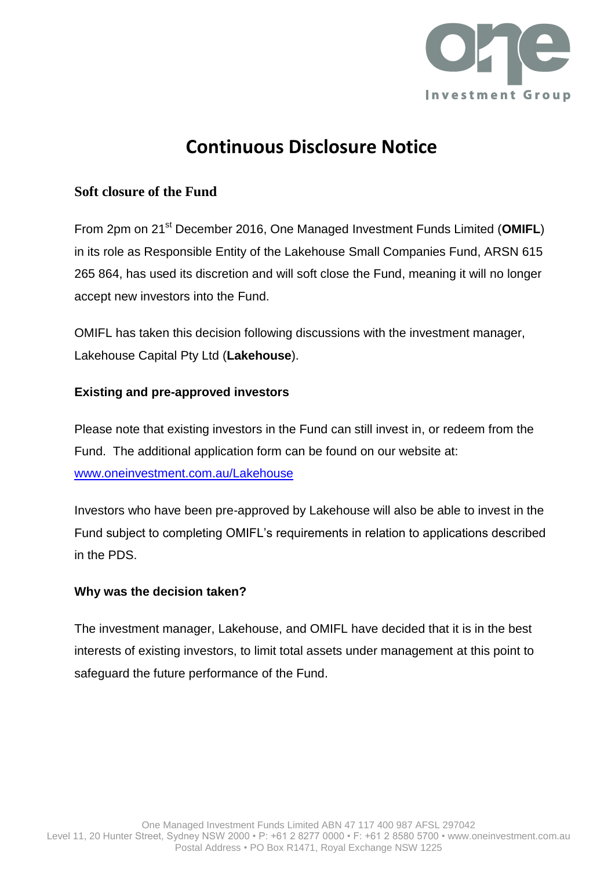

# **Continuous Disclosure Notice**

## **Soft closure of the Fund**

From 2pm on 21st December 2016, One Managed Investment Funds Limited (**OMIFL**) in its role as Responsible Entity of the Lakehouse Small Companies Fund, ARSN 615 265 864, has used its discretion and will soft close the Fund, meaning it will no longer accept new investors into the Fund.

OMIFL has taken this decision following discussions with the investment manager, Lakehouse Capital Pty Ltd (**Lakehouse**).

### **Existing and pre-approved investors**

Please note that existing investors in the Fund can still invest in, or redeem from the Fund. The additional application form can be found on our website at: [www.oneinvestment.com.au/Lakehouse](http://www.oneinvestment.com.au/Lakehouse)

Investors who have been pre-approved by Lakehouse will also be able to invest in the Fund subject to completing OMIFL's requirements in relation to applications described in the PDS.

### **Why was the decision taken?**

The investment manager, Lakehouse, and OMIFL have decided that it is in the best interests of existing investors, to limit total assets under management at this point to safeguard the future performance of the Fund.